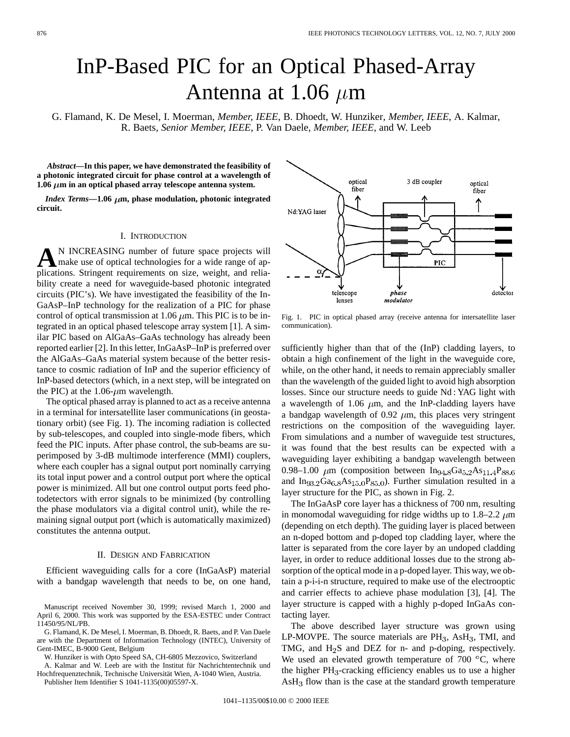# InP-Based PIC for an Optical Phased-Array Antenna at 1.06  $\mu$ m

G. Flamand, K. De Mesel, I. Moerman*, Member, IEEE*, B. Dhoedt, W. Hunziker*, Member, IEEE*, A. Kalmar, R. Baets*, Senior Member, IEEE*, P. Van Daele*, Member, IEEE*, and W. Leeb

*Abstract—***In this paper, we have demonstrated the feasibility of a photonic integrated circuit for phase control at a wavelength of** 1.06  $\mu$ m in an optical phased array telescope antenna system.

*Index Terms*— $1.06 \mu m$ , phase modulation, photonic integrated **circuit.**

## I. INTRODUCTION

**A**N INCREASING number of future space projects will make use of optical technologies for a wide range of applications. Stringent requirements on size, weight, and reliability create a need for waveguide-based photonic integrated circuits (PIC's). We have investigated the feasibility of the In-GaAsP–InP technology for the realization of a PIC for phase control of optical transmission at 1.06  $\mu$ m. This PIC is to be integrated in an optical phased telescope array system [1]. A similar PIC based on AlGaAs–GaAs technology has already been reported earlier [2]. In this letter, InGaAsP–InP is preferred over the AlGaAs–GaAs material system because of the better resistance to cosmic radiation of InP and the superior efficiency of InP-based detectors (which, in a next step, will be integrated on the PIC) at the 1.06- $\mu$ m wavelength.

The optical phased array is planned to act as a receive antenna in a terminal for intersatellite laser communications (in geostationary orbit) (see Fig. 1). The incoming radiation is collected by sub-telescopes, and coupled into single-mode fibers, which feed the PIC inputs. After phase control, the sub-beams are superimposed by 3-dB multimode interference (MMI) couplers, where each coupler has a signal output port nominally carrying its total input power and a control output port where the optical power is minimized. All but one control output ports feed photodetectors with error signals to be minimized (by controlling the phase modulators via a digital control unit), while the remaining signal output port (which is automatically maximized) constitutes the antenna output.

## II. DESIGN AND FABRICATION

Efficient waveguiding calls for a core (InGaAsP) material with a bandgap wavelength that needs to be, on one hand,

Manuscript received November 30, 1999; revised March 1, 2000 and April 6, 2000. This work was supported by the ESA-ESTEC under Contract 11450/95/NL/PB.

G. Flamand, K. De Mesel, I. Moerman, B. Dhoedt, R. Baets, and P. Van Daele are with the Department of Information Technology (INTEC), University of Gent-IMEC, B-9000 Gent, Belgium

W. Hunziker is with Opto Speed SA, CH-6805 Mezzovico, Switzerland

A. Kalmar and W. Leeb are with the Institut für Nachrichtentechnik und Hochfrequenztechnik, Technische Universität Wien, A-1040 Wien, Austria.

Publisher Item Identifier S 1041-1135(00)05597-X.



Fig. 1. PIC in optical phased array (receive antenna for intersatellite laser communication).

sufficiently higher than that of the (InP) cladding layers, to obtain a high confinement of the light in the waveguide core, while, on the other hand, it needs to remain appreciably smaller than the wavelength of the guided light to avoid high absorption losses. Since our structure needs to guide Nd : YAG light with a wavelength of 1.06  $\mu$ m, and the InP-cladding layers have a bandgap wavelength of 0.92  $\mu$ m, this places very stringent restrictions on the composition of the waveguiding layer. From simulations and a number of waveguide test structures, it was found that the best results can be expected with a waveguiding layer exhibiting a bandgap wavelength between 0.98–1.00  $\mu$ m (composition between In<sub>94.8</sub>Ga<sub>5.2</sub>As<sub>11.4</sub>P<sub>88.6</sub> and  $In_{93.2}Ga_{6.8}As_{15.0}Ps_{5.0}$ . Further simulation resulted in a layer structure for the PIC, as shown in Fig. 2.

The InGaAsP core layer has a thickness of 700 nm, resulting in monomodal waveguiding for ridge widths up to 1.8–2.2  $\mu$ m (depending on etch depth). The guiding layer is placed between an n-doped bottom and p-doped top cladding layer, where the latter is separated from the core layer by an undoped cladding layer, in order to reduce additional losses due to the strong absorption of the optical mode in a p-doped layer. This way, we obtain a p-i-i-n structure, required to make use of the electrooptic and carrier effects to achieve phase modulation [3], [4]. The layer structure is capped with a highly p-doped InGaAs contacting layer.

The above described layer structure was grown using LP-MOVPE. The source materials are  $PH_3$ , As $H_3$ , TMI, and TMG, and  $H_2S$  and DEZ for n- and p-doping, respectively. We used an elevated growth temperature of 700  $^{\circ}$ C, where the higher  $PH_3$ -cracking efficiency enables us to use a higher  $AsH<sub>3</sub>$  flow than is the case at the standard growth temperature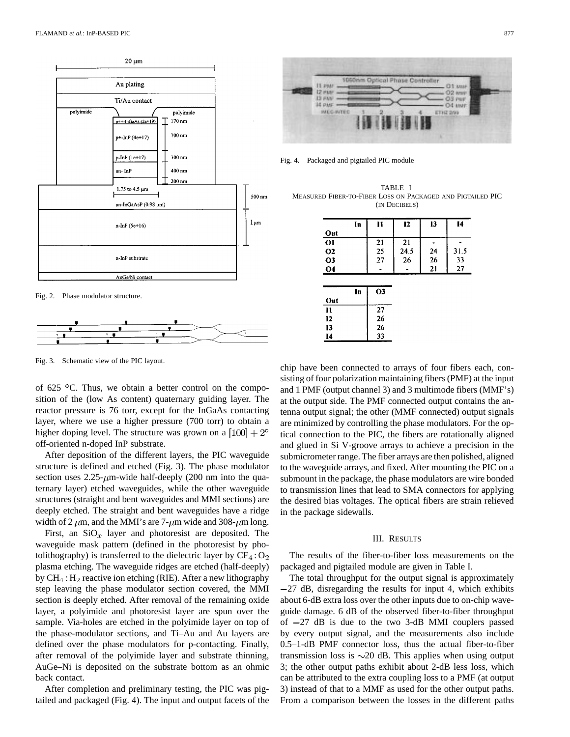





Fig. 3. Schematic view of the PIC layout.

of 625  $\degree$ C. Thus, we obtain a better control on the composition of the (low As content) quaternary guiding layer. The reactor pressure is 76 torr, except for the InGaAs contacting layer, where we use a higher pressure (700 torr) to obtain a higher doping level. The structure was grown on a  $[100] + 2^{\circ}$ off-oriented n-doped InP substrate.

After deposition of the different layers, the PIC waveguide structure is defined and etched (Fig. 3). The phase modulator section uses  $2.25-\mu$ m-wide half-deeply (200 nm into the quaternary layer) etched waveguides, while the other waveguide structures (straight and bent waveguides and MMI sections) are deeply etched. The straight and bent waveguides have a ridge width of 2  $\mu$ m, and the MMI's are 7- $\mu$ m wide and 308- $\mu$ m long.

First, an  $SiO_x$  layer and photoresist are deposited. The waveguide mask pattern (defined in the photoresist by photolithography) is transferred to the dielectric layer by  $CF_4: O_2$ plasma etching. The waveguide ridges are etched (half-deeply) by  $CH_4$ :  $H_2$  reactive ion etching (RIE). After a new lithography step leaving the phase modulator section covered, the MMI section is deeply etched. After removal of the remaining oxide layer, a polyimide and photoresist layer are spun over the sample. Via-holes are etched in the polyimide layer on top of the phase-modulator sections, and Ti–Au and Au layers are defined over the phase modulators for p-contacting. Finally, after removal of the polyimide layer and substrate thinning, AuGe–Ni is deposited on the substrate bottom as an ohmic back contact.

After completion and preliminary testing, the PIC was pigtailed and packaged (Fig. 4). The input and output facets of the



Fig. 4. Packaged and pigtailed PIC module

TABLE I MEASURED FIBER-TO-FIBER LOSS ON PACKAGED AND PIGTAILED PIC (IN DECIBELS)

|                | In | n              | 12   | 13 | 14   |
|----------------|----|----------------|------|----|------|
| Out            |    |                |      |    |      |
| 01             |    | 21             | 21   |    |      |
| <b>O2</b>      |    | 25             | 24.5 | 24 | 31.5 |
| O <sub>3</sub> |    | 27             | 26   | 26 | 33   |
|                |    |                |      |    |      |
| <b>O4</b>      |    |                |      | 21 | 27   |
|                |    |                |      |    |      |
|                | In | O <sub>3</sub> |      |    |      |
| Out            |    |                |      |    |      |
| I1             |    | 27             |      |    |      |
| 12             |    | 26             |      |    |      |
| 13             |    | 26             |      |    |      |

chip have been connected to arrays of four fibers each, consisting of four polarization maintaining fibers (PMF) at the input and 1 PMF (output channel 3) and 3 multimode fibers (MMF's) at the output side. The PMF connected output contains the antenna output signal; the other (MMF connected) output signals are minimized by controlling the phase modulators. For the optical connection to the PIC, the fibers are rotationally aligned and glued in Si V-groove arrays to achieve a precision in the submicrometer range. The fiber arrays are then polished, aligned to the waveguide arrays, and fixed. After mounting the PIC on a submount in the package, the phase modulators are wire bonded to transmission lines that lead to SMA connectors for applying the desired bias voltages. The optical fibers are strain relieved in the package sidewalls.

## III. RESULTS

The results of the fiber-to-fiber loss measurements on the packaged and pigtailed module are given in Table I.

The total throughput for the output signal is approximately 27 dB, disregarding the results for input 4, which exhibits about 6-dB extra loss over the other inputs due to on-chip waveguide damage. 6 dB of the observed fiber-to-fiber throughput of  $-27$  dB is due to the two 3-dB MMI couplers passed by every output signal, and the measurements also include 0.5–1-dB PMF connector loss, thus the actual fiber-to-fiber transmission loss is  $\sim$ 20 dB. This applies when using output 3; the other output paths exhibit about 2-dB less loss, which can be attributed to the extra coupling loss to a PMF (at output 3) instead of that to a MMF as used for the other output paths. From a comparison between the losses in the different paths